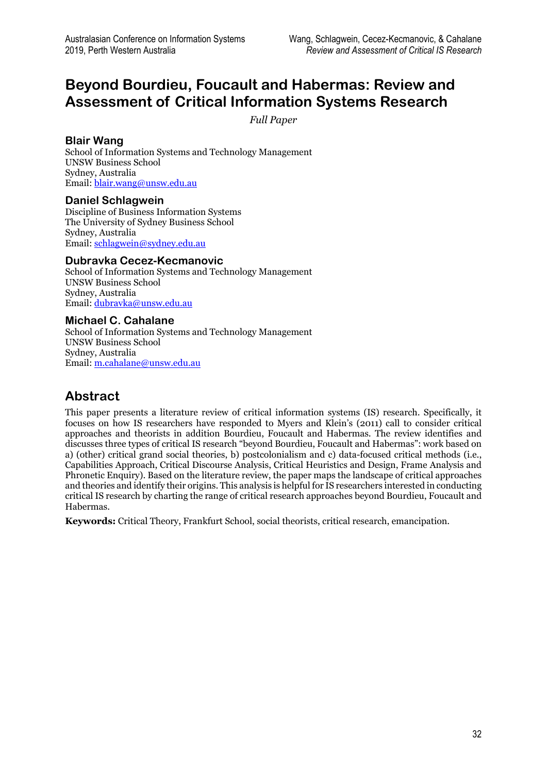# **Beyond Bourdieu, Foucault and Habermas: Review and Assessment of Critical Information Systems Research**

*Full Paper*

### **Blair Wang**

School of Information Systems and Technology Management UNSW Business School Sydney, Australia Email[: blair.wang@unsw.edu.au](mailto:blair.wang@unsw.edu.au)

#### **Daniel Schlagwein**

Discipline of Business Information Systems The University of Sydney Business School Sydney, Australia Email[: schlagwein@sydney.edu.au](mailto:schlagwein@sydney.edu.au)

#### **Dubravka Cecez-Kecmanovic**

School of Information Systems and Technology Management UNSW Business School Sydney, Australia Email[: dubravka@unsw.edu.au](mailto:dubravka@unsw.edu.au)

#### **Michael C. Cahalane**

School of Information Systems and Technology Management UNSW Business School Sydney, Australia Email[: m.cahalane@unsw.edu.au](mailto:m.cahalane@unsw.edu.au)

## **Abstract**

This paper presents a literature review of critical information systems (IS) research. Specifically, it focuses on how IS researchers have responded to Myers and Klein's (2011) call to consider critical approaches and theorists in addition Bourdieu, Foucault and Habermas. The review identifies and discusses three types of critical IS research "beyond Bourdieu, Foucault and Habermas": work based on a) (other) critical grand social theories, b) postcolonialism and c) data-focused critical methods (i.e., Capabilities Approach, Critical Discourse Analysis, Critical Heuristics and Design, Frame Analysis and Phronetic Enquiry). Based on the literature review, the paper maps the landscape of critical approaches and theories and identify their origins. This analysis is helpful for IS researchers interested in conducting critical IS research by charting the range of critical research approaches beyond Bourdieu, Foucault and Habermas.

**Keywords:** Critical Theory, Frankfurt School, social theorists, critical research, emancipation.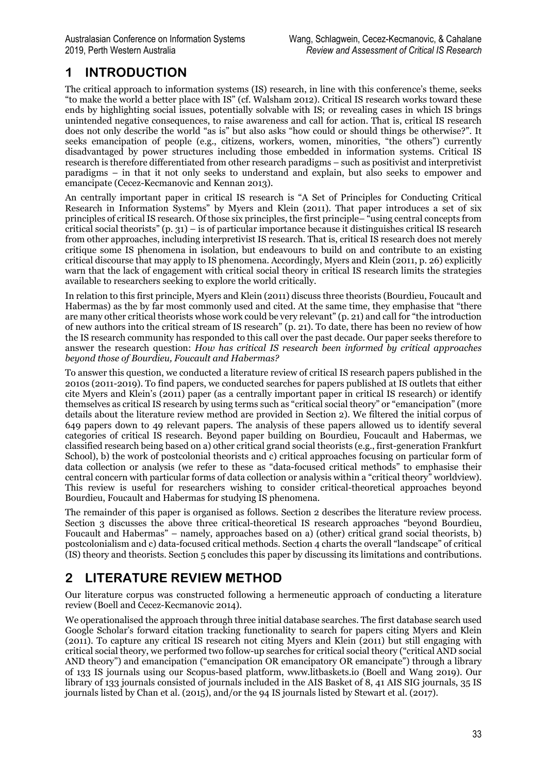# **1 INTRODUCTION**

The critical approach to information systems (IS) research, in line with this conference's theme, seeks "to make the world a better place with IS" (cf. Walsham 2012). Critical IS research works toward these ends by highlighting social issues, potentially solvable with IS; or revealing cases in which IS brings unintended negative consequences, to raise awareness and call for action. That is, critical IS research does not only describe the world "as is" but also asks "how could or should things be otherwise?". It seeks emancipation of people (e.g., citizens, workers, women, minorities, "the others") currently disadvantaged by power structures including those embedded in information systems. Critical IS research is therefore differentiated from other research paradigms – such as positivist and interpretivist paradigms – in that it not only seeks to understand and explain, but also seeks to empower and emancipate (Cecez-Kecmanovic and Kennan 2013).

An centrally important paper in critical IS research is "A Set of Principles for Conducting Critical Research in Information Systems" by Myers and Klein (2011). That paper introduces a set of six principles of critical IS research. Of those six principles, the first principle– "using central concepts from critical social theorists" (p. 31) – is of particular importance because it distinguishes critical IS research from other approaches, including interpretivist IS research. That is, critical IS research does not merely critique some IS phenomena in isolation, but endeavours to build on and contribute to an existing critical discourse that may apply to IS phenomena. Accordingly, Myers and Klein (2011, p. 26) explicitly warn that the lack of engagement with critical social theory in critical IS research limits the strategies available to researchers seeking to explore the world critically.

In relation to this first principle, Myers and Klein (2011) discuss three theorists (Bourdieu, Foucault and Habermas) as the by far most commonly used and cited. At the same time, they emphasise that "there are many other critical theorists whose work could be very relevant" (p. 21) and call for "the introduction of new authors into the critical stream of IS research" (p. 21). To date, there has been no review of how the IS research community has responded to this call over the past decade. Our paper seeks therefore to answer the research question: *How has critical IS research been informed by critical approaches beyond those of Bourdieu, Foucault and Habermas?*

To answer this question, we conducted a literature review of critical IS research papers published in the 2010s (2011-2019). To find papers, we conducted searches for papers published at IS outlets that either cite Myers and Klein's (2011) paper (as a centrally important paper in critical IS research) or identify themselves as critical IS research by using terms such as "critical social theory" or "emancipation" (more details about the literature review method are provided in Section 2). We filtered the initial corpus of 649 papers down to 49 relevant papers. The analysis of these papers allowed us to identify several categories of critical IS research. Beyond paper building on Bourdieu, Foucault and Habermas, we classified research being based on a) other critical grand social theorists (e.g., first-generation Frankfurt School), b) the work of postcolonial theorists and c) critical approaches focusing on particular form of data collection or analysis (we refer to these as "data-focused critical methods" to emphasise their central concern with particular forms of data collection or analysis within a "critical theory" worldview). This review is useful for researchers wishing to consider critical-theoretical approaches beyond Bourdieu, Foucault and Habermas for studying IS phenomena.

The remainder of this paper is organised as follows. Section 2 describes the literature review process. Section 3 discusses the above three critical-theoretical IS research approaches "beyond Bourdieu, Foucault and Habermas" – namely, approaches based on a) (other) critical grand social theorists, b) postcolonialism and c) data-focused critical methods. Section 4 charts the overall "landscape" of critical (IS) theory and theorists. Section 5 concludes this paper by discussing its limitations and contributions.

# **2 LITERATURE REVIEW METHOD**

Our literature corpus was constructed following a hermeneutic approach of conducting a literature review (Boell and Cecez-Kecmanovic 2014).

We operationalised the approach through three initial database searches. The first database search used Google Scholar's forward citation tracking functionality to search for papers citing Myers and Klein (2011). To capture any critical IS research not citing Myers and Klein (2011) but still engaging with critical social theory, we performed two follow-up searches for critical social theory ("critical AND social AND theory") and emancipation ("emancipation OR emancipatory OR emancipate") through a library of 133 IS journals using our Scopus-based platform, www.litbaskets.io (Boell and Wang 2019). Our library of 133 journals consisted of journals included in the AIS Basket of 8, 41 AIS SIG journals, 35 IS journals listed by Chan et al. (2015), and/or the 94 IS journals listed by Stewart et al. (2017).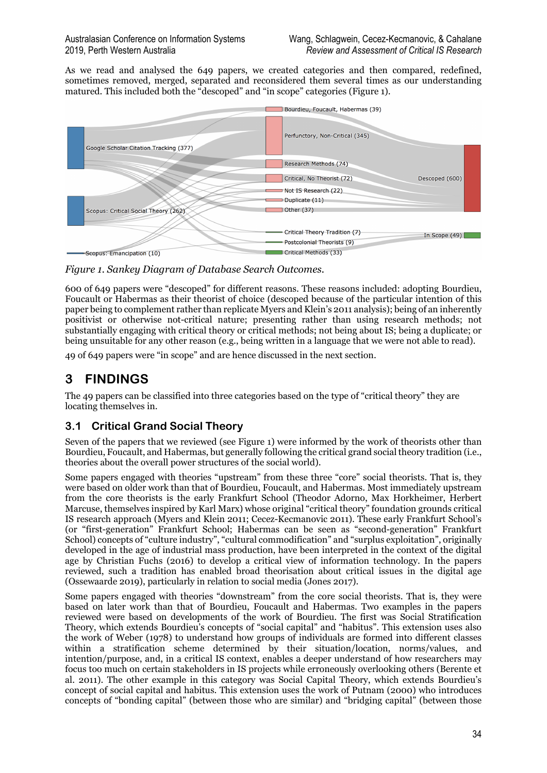As we read and analysed the 649 papers, we created categories and then compared, redefined, sometimes removed, merged, separated and reconsidered them several times as our understanding matured. This included both the "descoped" and "in scope" categories (Figure 1).



*Figure 1. Sankey Diagram of Database Search Outcomes.*

600 of 649 papers were "descoped" for different reasons. These reasons included: adopting Bourdieu, Foucault or Habermas as their theorist of choice (descoped because of the particular intention of this paper being to complement rather than replicate Myers and Klein's 2011 analysis); being of an inherently positivist or otherwise not-critical nature; presenting rather than using research methods; not substantially engaging with critical theory or critical methods; not being about IS; being a duplicate; or being unsuitable for any other reason (e.g., being written in a language that we were not able to read).

49 of 649 papers were "in scope" and are hence discussed in the next section.

## **3 FINDINGS**

The 49 papers can be classified into three categories based on the type of "critical theory" they are locating themselves in.

### **3.1 Critical Grand Social Theory**

Seven of the papers that we reviewed (see Figure 1) were informed by the work of theorists other than Bourdieu, Foucault, and Habermas, but generally following the critical grand social theory tradition (i.e., theories about the overall power structures of the social world).

Some papers engaged with theories "upstream" from these three "core" social theorists. That is, they were based on older work than that of Bourdieu, Foucault, and Habermas. Most immediately upstream from the core theorists is the early Frankfurt School (Theodor Adorno, Max Horkheimer, Herbert Marcuse, themselves inspired by Karl Marx) whose original "critical theory" foundation grounds critical IS research approach (Myers and Klein 2011; Cecez-Kecmanovic 2011). These early Frankfurt School's (or "first-generation" Frankfurt School; Habermas can be seen as "second-generation" Frankfurt School) concepts of "culture industry", "cultural commodification" and "surplus exploitation", originally developed in the age of industrial mass production, have been interpreted in the context of the digital age by Christian Fuchs (2016) to develop a critical view of information technology. In the papers reviewed, such a tradition has enabled broad theorisation about critical issues in the digital age (Ossewaarde 2019), particularly in relation to social media (Jones 2017).

Some papers engaged with theories "downstream" from the core social theorists. That is, they were based on later work than that of Bourdieu, Foucault and Habermas. Two examples in the papers reviewed were based on developments of the work of Bourdieu. The first was Social Stratification Theory, which extends Bourdieu's concepts of "social capital" and "habitus". This extension uses also the work of Weber (1978) to understand how groups of individuals are formed into different classes within a stratification scheme determined by their situation/location, norms/values, and intention/purpose, and, in a critical IS context, enables a deeper understand of how researchers may focus too much on certain stakeholders in IS projects while erroneously overlooking others (Berente et al. 2011). The other example in this category was Social Capital Theory, which extends Bourdieu's concept of social capital and habitus. This extension uses the work of Putnam (2000) who introduces concepts of "bonding capital" (between those who are similar) and "bridging capital" (between those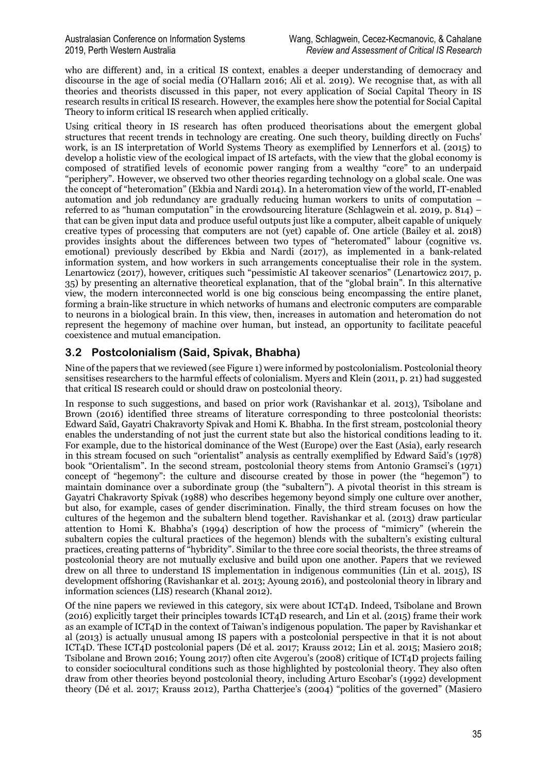who are different) and, in a critical IS context, enables a deeper understanding of democracy and discourse in the age of social media (O'Hallarn 2016; Ali et al. 2019). We recognise that, as with all theories and theorists discussed in this paper, not every application of Social Capital Theory in IS research results in critical IS research. However, the examples here show the potential for Social Capital Theory to inform critical IS research when applied critically.

Using critical theory in IS research has often produced theorisations about the emergent global structures that recent trends in technology are creating. One such theory, building directly on Fuchs' work, is an IS interpretation of World Systems Theory as exemplified by Lennerfors et al. (2015) to develop a holistic view of the ecological impact of IS artefacts, with the view that the global economy is composed of stratified levels of economic power ranging from a wealthy "core" to an underpaid "periphery". However, we observed two other theories regarding technology on a global scale. One was the concept of "heteromation" (Ekbia and Nardi 2014). In a heteromation view of the world, IT-enabled automation and job redundancy are gradually reducing human workers to units of computation – referred to as "human computation" in the crowdsourcing literature (Schlagwein et al. 2019, p. 814) – that can be given input data and produce useful outputs just like a computer, albeit capable of uniquely creative types of processing that computers are not (yet) capable of. One article (Bailey et al. 2018) provides insights about the differences between two types of "heteromated" labour (cognitive vs. emotional) previously described by Ekbia and Nardi (2017), as implemented in a bank-related information system, and how workers in such arrangements conceptualise their role in the system. Lenartowicz (2017), however, critiques such "pessimistic AI takeover scenarios" (Lenartowicz 2017, p. 35) by presenting an alternative theoretical explanation, that of the "global brain". In this alternative view, the modern interconnected world is one big conscious being encompassing the entire planet, forming a brain-like structure in which networks of humans and electronic computers are comparable to neurons in a biological brain. In this view, then, increases in automation and heteromation do not represent the hegemony of machine over human, but instead, an opportunity to facilitate peaceful coexistence and mutual emancipation.

### **3.2 Postcolonialism (Said, Spivak, Bhabha)**

Nine of the papers that we reviewed (see Figure 1) were informed by postcolonialism. Postcolonial theory sensitises researchers to the harmful effects of colonialism. Myers and Klein (2011, p. 21) had suggested that critical IS research could or should draw on postcolonial theory.

In response to such suggestions, and based on prior work (Ravishankar et al. 2013), Tsibolane and Brown (2016) identified three streams of literature corresponding to three postcolonial theorists: Edward Saïd, Gayatri Chakravorty Spivak and Homi K. Bhabha. In the first stream, postcolonial theory enables the understanding of not just the current state but also the historical conditions leading to it. For example, due to the historical dominance of the West (Europe) over the East (Asia), early research in this stream focused on such "orientalist" analysis as centrally exemplified by Edward Saïd's (1978) book "Orientalism". In the second stream, postcolonial theory stems from Antonio Gramsci's (1971) concept of "hegemony": the culture and discourse created by those in power (the "hegemon") to maintain dominance over a subordinate group (the "subaltern"). A pivotal theorist in this stream is Gayatri Chakravorty Spivak (1988) who describes hegemony beyond simply one culture over another, but also, for example, cases of gender discrimination. Finally, the third stream focuses on how the cultures of the hegemon and the subaltern blend together. Ravishankar et al. (2013) draw particular attention to Homi K. Bhabha's (1994) description of how the process of "mimicry" (wherein the subaltern copies the cultural practices of the hegemon) blends with the subaltern's existing cultural practices, creating patterns of "hybridity". Similar to the three core social theorists, the three streams of postcolonial theory are not mutually exclusive and build upon one another. Papers that we reviewed drew on all three to understand IS implementation in indigenous communities (Lin et al. 2015), IS development offshoring (Ravishankar et al. 2013; Ayoung 2016), and postcolonial theory in library and information sciences (LIS) research (Khanal 2012).

Of the nine papers we reviewed in this category, six were about ICT4D. Indeed, Tsibolane and Brown (2016) explicitly target their principles towards ICT4D research, and Lin et al. (2015) frame their work as an example of ICT4D in the context of Taiwan's indigenous population. The paper by Ravishankar et al (2013) is actually unusual among IS papers with a postcolonial perspective in that it is not about ICT4D. These ICT4D postcolonial papers (Dé et al. 2017; Krauss 2012; Lin et al. 2015; Masiero 2018; Tsibolane and Brown 2016; Young 2017) often cite Avgerou's (2008) critique of ICT4D projects failing to consider sociocultural conditions such as those highlighted by postcolonial theory. They also often draw from other theories beyond postcolonial theory, including Arturo Escobar's (1992) development theory (Dé et al. 2017; Krauss 2012), Partha Chatterjee's (2004) "politics of the governed" (Masiero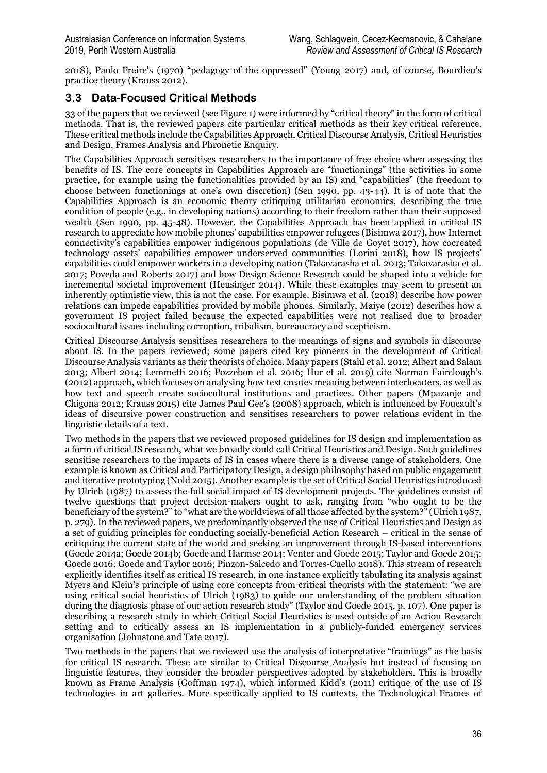2018), Paulo Freire's (1970) "pedagogy of the oppressed" (Young 2017) and, of course, Bourdieu's practice theory (Krauss 2012).

### **3.3 Data-Focused Critical Methods**

33 of the papers that we reviewed (see Figure 1) were informed by "critical theory" in the form of critical methods. That is, the reviewed papers cite particular critical methods as their key critical reference. These critical methods include the Capabilities Approach, Critical Discourse Analysis, Critical Heuristics and Design, Frames Analysis and Phronetic Enquiry.

The Capabilities Approach sensitises researchers to the importance of free choice when assessing the benefits of IS. The core concepts in Capabilities Approach are "functionings" (the activities in some practice, for example using the functionalities provided by an IS) and "capabilities" (the freedom to choose between functionings at one's own discretion) (Sen 1990, pp. 43-44). It is of note that the Capabilities Approach is an economic theory critiquing utilitarian economics, describing the true condition of people (e.g., in developing nations) according to their freedom rather than their supposed wealth (Sen 1990, pp. 45-48). However, the Capabilities Approach has been applied in critical IS research to appreciate how mobile phones' capabilities empower refugees (Bisimwa 2017), how Internet connectivity's capabilities empower indigenous populations (de Ville de Goyet 2017), how cocreated technology assets' capabilities empower underserved communities (Lorini 2018), how IS projects' capabilities could empower workers in a developing nation (Takavarasha et al. 2013; Takavarasha et al. 2017; Poveda and Roberts 2017) and how Design Science Research could be shaped into a vehicle for incremental societal improvement (Heusinger 2014). While these examples may seem to present an inherently optimistic view, this is not the case. For example, Bisimwa et al. (2018) describe how power relations can impede capabilities provided by mobile phones. Similarly, Maiye (2012) describes how a government IS project failed because the expected capabilities were not realised due to broader sociocultural issues including corruption, tribalism, bureaucracy and scepticism.

Critical Discourse Analysis sensitises researchers to the meanings of signs and symbols in discourse about IS. In the papers reviewed; some papers cited key pioneers in the development of Critical Discourse Analysis variants as their theorists of choice. Many papers (Stahl et al. 2012; Albert and Salam 2013; Albert 2014; Lemmetti 2016; Pozzebon et al. 2016; Hur et al. 2019) cite Norman Fairclough's (2012) approach, which focuses on analysing how text creates meaning between interlocuters, as well as how text and speech create sociocultural institutions and practices. Other papers (Mpazanje and Chigona 2012; Krauss 2015) cite James Paul Gee's (2008) approach, which is influenced by Foucault's ideas of discursive power construction and sensitises researchers to power relations evident in the linguistic details of a text.

Two methods in the papers that we reviewed proposed guidelines for IS design and implementation as a form of critical IS research, what we broadly could call Critical Heuristics and Design. Such guidelines sensitise researchers to the impacts of IS in cases where there is a diverse range of stakeholders. One example is known as Critical and Participatory Design, a design philosophy based on public engagement and iterative prototyping (Nold 2015). Another example is the set of Critical Social Heuristics introduced by Ulrich (1987) to assess the full social impact of IS development projects. The guidelines consist of twelve questions that project decision-makers ought to ask, ranging from "who ought to be the beneficiary of the system?" to "what are the worldviews of all those affected by the system?" (Ulrich 1987, p. 279). In the reviewed papers, we predominantly observed the use of Critical Heuristics and Design as a set of guiding principles for conducting socially-beneficial Action Research – critical in the sense of critiquing the current state of the world and seeking an improvement through IS-based interventions (Goede 2014a; Goede 2014b; Goede and Harmse 2014; Venter and Goede 2015; Taylor and Goede 2015; Goede 2016; Goede and Taylor 2016; Pinzon-Salcedo and Torres-Cuello 2018). This stream of research explicitly identifies itself as critical IS research, in one instance explicitly tabulating its analysis against Myers and Klein's principle of using core concepts from critical theorists with the statement: "we are using critical social heuristics of Ulrich (1983) to guide our understanding of the problem situation during the diagnosis phase of our action research study" (Taylor and Goede 2015, p. 107). One paper is describing a research study in which Critical Social Heuristics is used outside of an Action Research setting and to critically assess an IS implementation in a publicly-funded emergency services organisation (Johnstone and Tate 2017).

Two methods in the papers that we reviewed use the analysis of interpretative "framings" as the basis for critical IS research. These are similar to Critical Discourse Analysis but instead of focusing on linguistic features, they consider the broader perspectives adopted by stakeholders. This is broadly known as Frame Analysis (Goffman 1974), which informed Kidd's (2011) critique of the use of IS technologies in art galleries. More specifically applied to IS contexts, the Technological Frames of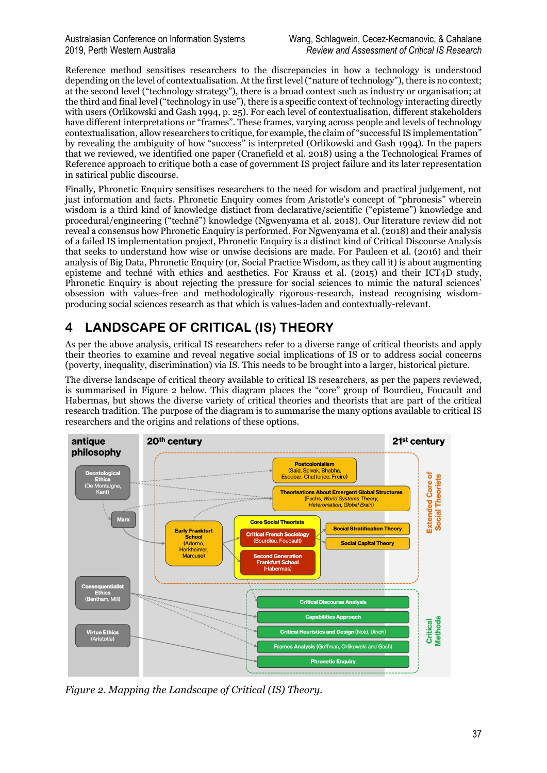Reference method sensitises researchers to the discrepancies in how a technology is understood depending on the level of contextualisation. At the first level ("nature of technology"), there is no context; at the second level ("technology strategy"), there is a broad context such as industry or organisation; at the third and final level ("technology in use"), there is a specific context of technology interacting directly with users (Orlikowski and Gash 1994, p. 25). For each level of contextualisation, different stakeholders have different interpretations or "frames". These frames, varying across people and levels of technology contextualisation, allow researchers to critique, for example, the claim of "successfulIS implementation" by revealing the ambiguity of how "success" is interpreted (Orlikowski and Gash 1994). In the papers that we reviewed, we identified one paper (Cranefield et al. 2018) using a the Technological Frames of Reference approach to critique both a case of government IS project failure and its later representation in satirical public discourse.

Finally, Phronetic Enquiry sensitises researchers to the need for wisdom and practical judgement, not just information and facts. Phronetic Enquiry comes from Aristotle's concept of "phronesis" wherein wisdom is a third kind of knowledge distinct from declarative/scientific ("episteme") knowledge and procedural/engineering ("techné") knowledge (Ngwenyama et al. 2018). Our literature review did not reveal a consensus how Phronetic Enquiry is performed. For Ngwenyama et al. (2018) and their analysis of a failed IS implementation project, Phronetic Enquiry is a distinct kind of Critical Discourse Analysis that seeks to understand how wise or unwise decisions are made. For Pauleen et al. (2016) and their analysis of Big Data, Phronetic Enquiry (or, Social Practice Wisdom, as they call it) is about augmenting episteme and techné with ethics and aesthetics. For Krauss et al. (2015) and their ICT4D study, Phronetic Enquiry is about rejecting the pressure for social sciences to mimic the natural sciences' obsession with values-free and methodologically rigorous-research, instead recognising wisdomproducing social sciences research as that which is values-laden and contextually-relevant.

# **4 LANDSCAPE OF CRITICAL (IS) THEORY**

As per the above analysis, critical IS researchers refer to a diverse range of critical theorists and apply their theories to examine and reveal negative social implications of IS or to address social concerns (poverty, inequality, discrimination) via IS. This needs to be brought into a larger, historical picture.

The diverse landscape of critical theory available to critical IS researchers, as per the papers reviewed, is summarised in Figure 2 below. This diagram places the "core" group of Bourdieu, Foucault and Habermas, but shows the diverse variety of critical theories and theorists that are part of the critical research tradition. The purpose of the diagram is to summarise the many options available to critical IS researchers and the origins and relations of these options.



*Figure 2. Mapping the Landscape of Critical (IS) Theory.*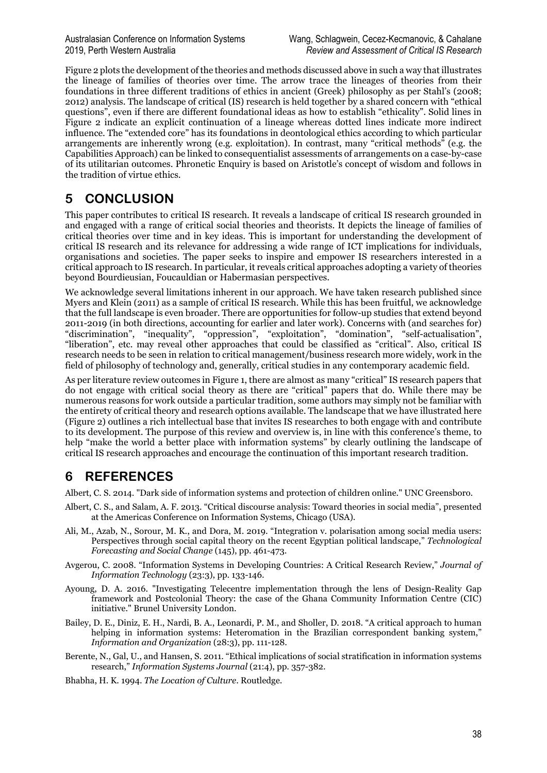Figure 2 plots the development of the theories and methods discussed above in such a way that illustrates the lineage of families of theories over time. The arrow trace the lineages of theories from their foundations in three different traditions of ethics in ancient (Greek) philosophy as per Stahl's (2008; 2012) analysis. The landscape of critical (IS) research is held together by a shared concern with "ethical questions", even if there are different foundational ideas as how to establish "ethicality". Solid lines in Figure 2 indicate an explicit continuation of a lineage whereas dotted lines indicate more indirect influence. The "extended core" has its foundations in deontological ethics according to which particular arrangements are inherently wrong (e.g. exploitation). In contrast, many "critical methods" (e.g. the Capabilities Approach) can be linked to consequentialist assessments of arrangements on a case-by-case of its utilitarian outcomes. Phronetic Enquiry is based on Aristotle's concept of wisdom and follows in the tradition of virtue ethics.

# **5 CONCLUSION**

This paper contributes to critical IS research. It reveals a landscape of critical IS research grounded in and engaged with a range of critical social theories and theorists. It depicts the lineage of families of critical theories over time and in key ideas. This is important for understanding the development of critical IS research and its relevance for addressing a wide range of ICT implications for individuals, organisations and societies. The paper seeks to inspire and empower IS researchers interested in a critical approach to IS research. In particular, it reveals critical approaches adopting a variety of theories beyond Bourdieusian, Foucauldian or Habermasian perspectives.

We acknowledge several limitations inherent in our approach. We have taken research published since Myers and Klein (2011) as a sample of critical IS research. While this has been fruitful, we acknowledge that the full landscape is even broader. There are opportunities for follow-up studies that extend beyond 2011-2019 (in both directions, accounting for earlier and later work). Concerns with (and searches for) "discrimination", "inequality", "oppression", "exploitation", "domination", "self-actualisation", "liberation", etc. may reveal other approaches that could be classified as "critical". Also, critical IS research needs to be seen in relation to critical management/business research more widely, work in the field of philosophy of technology and, generally, critical studies in any contemporary academic field.

As per literature review outcomes in Figure 1, there are almost as many "critical" IS research papers that do not engage with critical social theory as there are "critical" papers that do. While there may be numerous reasons for work outside a particular tradition, some authors may simply not be familiar with the entirety of critical theory and research options available. The landscape that we have illustrated here (Figure 2) outlines a rich intellectual base that invites IS researches to both engage with and contribute to its development. The purpose of this review and overview is, in line with this conference's theme, to help "make the world a better place with information systems" by clearly outlining the landscape of critical IS research approaches and encourage the continuation of this important research tradition.

# **6 REFERENCES**

Albert, C. S. 2014. "Dark side of information systems and protection of children online." UNC Greensboro.

- Albert, C. S., and Salam, A. F. 2013. "Critical discourse analysis: Toward theories in social media", presented at the Americas Conference on Information Systems, Chicago (USA).
- Ali, M., Azab, N., Sorour, M. K., and Dora, M. 2019. "Integration v. polarisation among social media users: Perspectives through social capital theory on the recent Egyptian political landscape," *Technological Forecasting and Social Change* (145), pp. 461-473.
- Avgerou, C. 2008. "Information Systems in Developing Countries: A Critical Research Review," *Journal of Information Technology* (23:3), pp. 133-146.
- Ayoung, D. A. 2016. "Investigating Telecentre implementation through the lens of Design-Reality Gap framework and Postcolonial Theory: the case of the Ghana Community Information Centre (CIC) initiative." Brunel University London.
- Bailey, D. E., Diniz, E. H., Nardi, B. A., Leonardi, P. M., and Sholler, D. 2018. "A critical approach to human helping in information systems: Heteromation in the Brazilian correspondent banking system," *Information and Organization* (28:3), pp. 111-128.
- Berente, N., Gal, U., and Hansen, S. 2011. "Ethical implications of social stratification in information systems research," *Information Systems Journal* (21:4), pp. 357-382.
- Bhabha, H. K. 1994. *The Location of Culture*. Routledge.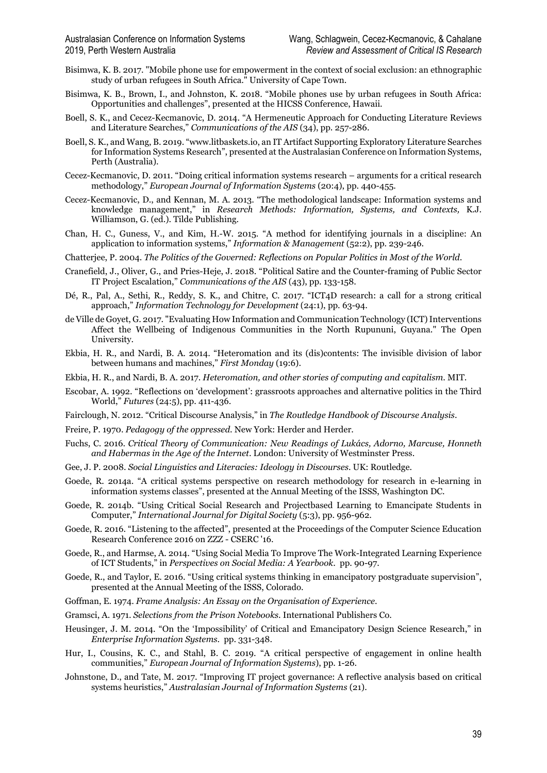- Bisimwa, K. B. 2017. "Mobile phone use for empowerment in the context of social exclusion: an ethnographic study of urban refugees in South Africa." University of Cape Town.
- Bisimwa, K. B., Brown, I., and Johnston, K. 2018. "Mobile phones use by urban refugees in South Africa: Opportunities and challenges", presented at the HICSS Conference, Hawaii.
- Boell, S. K., and Cecez-Kecmanovic, D. 2014. "A Hermeneutic Approach for Conducting Literature Reviews and Literature Searches," *Communications of the AIS* (34), pp. 257-286.
- Boell, S. K., and Wang, B. 2019. "www.litbaskets.io, an IT Artifact Supporting Exploratory Literature Searches for Information Systems Research", presented at the Australasian Conference on Information Systems, Perth (Australia).
- Cecez-Kecmanovic, D. 2011. "Doing critical information systems research arguments for a critical research methodology," *European Journal of Information Systems* (20:4), pp. 440-455.
- Cecez-Kecmanovic, D., and Kennan, M. A. 2013. "The methodological landscape: Information systems and knowledge management," in *Research Methods: Information, Systems, and Contexts,* K.J. Williamson, G. (ed.). Tilde Publishing.
- Chan, H. C., Guness, V., and Kim, H.-W. 2015. "A method for identifying journals in a discipline: An application to information systems," *Information & Management* (52:2), pp. 239-246.
- Chatterjee, P. 2004. *The Politics of the Governed: Reflections on Popular Politics in Most of the World*.
- Cranefield, J., Oliver, G., and Pries-Heje, J. 2018. "Political Satire and the Counter-framing of Public Sector IT Project Escalation," *Communications of the AIS* (43), pp. 133-158.
- Dé, R., Pal, A., Sethi, R., Reddy, S. K., and Chitre, C. 2017. "ICT4D research: a call for a strong critical approach," *Information Technology for Development* (24:1), pp. 63-94.
- de Ville de Goyet, G. 2017. "Evaluating How Information and Communication Technology (ICT) Interventions Affect the Wellbeing of Indigenous Communities in the North Rupununi, Guyana." The Open University.
- Ekbia, H. R., and Nardi, B. A. 2014. "Heteromation and its (dis)contents: The invisible division of labor between humans and machines," *First Monday* (19:6).
- Ekbia, H. R., and Nardi, B. A. 2017. *Heteromation, and other stories of computing and capitalism*. MIT.
- Escobar, A. 1992. "Reflections on 'development': grassroots approaches and alternative politics in the Third World," *Futures* (24:5), pp. 411-436.
- Fairclough, N. 2012. "Critical Discourse Analysis," in *The Routledge Handbook of Discourse Analysis*.
- Freire, P. 1970. *Pedagogy of the oppressed*. New York: Herder and Herder.
- Fuchs, C. 2016. *Critical Theory of Communication: New Readings of Lukács, Adorno, Marcuse, Honneth and Habermas in the Age of the Internet*. London: University of Westminster Press.
- Gee, J. P. 2008. *Social Linguistics and Literacies: Ideology in Discourses*. UK: Routledge.
- Goede, R. 2014a. "A critical systems perspective on research methodology for research in e-learning in information systems classes", presented at the Annual Meeting of the ISSS, Washington DC.
- Goede, R. 2014b. "Using Critical Social Research and Projectbased Learning to Emancipate Students in Computer," *International Journal for Digital Society* (5:3), pp. 956-962.
- Goede, R. 2016. "Listening to the affected", presented at the Proceedings of the Computer Science Education Research Conference 2016 on ZZZ - CSERC '16.
- Goede, R., and Harmse, A. 2014. "Using Social Media To Improve The Work-Integrated Learning Experience of ICT Students," in *Perspectives on Social Media: A Yearbook*. pp. 90-97.
- Goede, R., and Taylor, E. 2016. "Using critical systems thinking in emancipatory postgraduate supervision", presented at the Annual Meeting of the ISSS, Colorado.
- Goffman, E. 1974. *Frame Analysis: An Essay on the Organisation of Experience*.
- Gramsci, A. 1971. *Selections from the Prison Notebooks*. International Publishers Co.
- Heusinger, J. M. 2014. "On the 'Impossibility' of Critical and Emancipatory Design Science Research," in *Enterprise Information Systems*. pp. 331-348.
- Hur, I., Cousins, K. C., and Stahl, B. C. 2019. "A critical perspective of engagement in online health communities," *European Journal of Information Systems*), pp. 1-26.
- Johnstone, D., and Tate, M. 2017. "Improving IT project governance: A reflective analysis based on critical systems heuristics," *Australasian Journal of Information Systems* (21).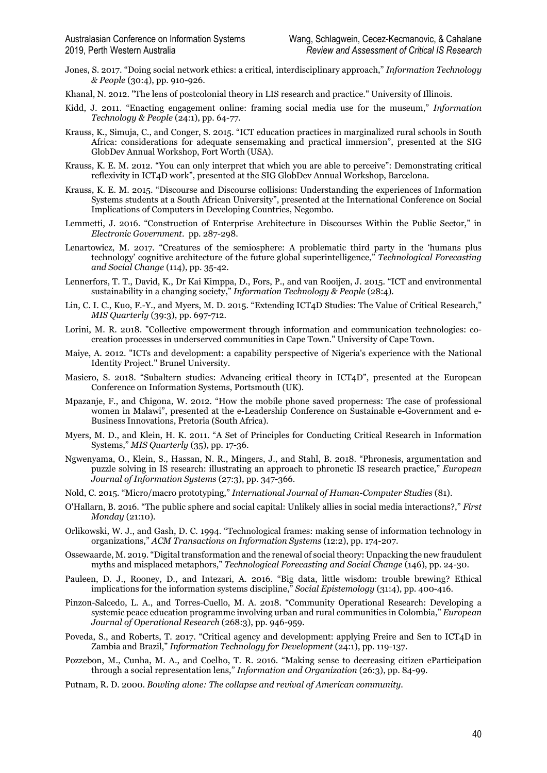- Jones, S. 2017. "Doing social network ethics: a critical, interdisciplinary approach," *Information Technology & People* (30:4), pp. 910-926.
- Khanal, N. 2012. "The lens of postcolonial theory in LIS research and practice." University of Illinois.
- Kidd, J. 2011. "Enacting engagement online: framing social media use for the museum," *Information Technology & People* (24:1), pp. 64-77.
- Krauss, K., Simuja, C., and Conger, S. 2015. "ICT education practices in marginalized rural schools in South Africa: considerations for adequate sensemaking and practical immersion", presented at the SIG GlobDev Annual Workshop, Fort Worth (USA).
- Krauss, K. E. M. 2012. "You can only interpret that which you are able to perceive": Demonstrating critical reflexivity in ICT4D work", presented at the SIG GlobDev Annual Workshop, Barcelona.
- Krauss, K. E. M. 2015. "Discourse and Discourse collisions: Understanding the experiences of Information Systems students at a South African University", presented at the International Conference on Social Implications of Computers in Developing Countries, Negombo.
- Lemmetti, J. 2016. "Construction of Enterprise Architecture in Discourses Within the Public Sector," in *Electronic Government*. pp. 287-298.
- Lenartowicz, M. 2017. "Creatures of the semiosphere: A problematic third party in the 'humans plus technology' cognitive architecture of the future global superintelligence," *Technological Forecasting and Social Change* (114), pp. 35-42.
- Lennerfors, T. T., David, K., Dr Kai Kimppa, D., Fors, P., and van Rooijen, J. 2015. "ICT and environmental sustainability in a changing society," *Information Technology & People* (28:4).
- Lin, C. I. C., Kuo, F.-Y., and Myers, M. D. 2015. "Extending ICT4D Studies: The Value of Critical Research," *MIS Quarterly* (39:3), pp. 697-712.
- Lorini, M. R. 2018. "Collective empowerment through information and communication technologies: cocreation processes in underserved communities in Cape Town." University of Cape Town.
- Maiye, A. 2012. "ICTs and development: a capability perspective of Nigeria's experience with the National Identity Project." Brunel University.
- Masiero, S. 2018. "Subaltern studies: Advancing critical theory in ICT4D", presented at the European Conference on Information Systems, Portsmouth (UK).
- Mpazanje, F., and Chigona, W. 2012. "How the mobile phone saved properness: The case of professional women in Malawi", presented at the e-Leadership Conference on Sustainable e-Government and e-Business Innovations, Pretoria (South Africa).
- Myers, M. D., and Klein, H. K. 2011. "A Set of Principles for Conducting Critical Research in Information Systems," *MIS Quarterly* (35), pp. 17-36.
- Ngwenyama, O., Klein, S., Hassan, N. R., Mingers, J., and Stahl, B. 2018. "Phronesis, argumentation and puzzle solving in IS research: illustrating an approach to phronetic IS research practice," *European Journal of Information Systems* (27:3), pp. 347-366.
- Nold, C. 2015. "Micro/macro prototyping," *International Journal of Human-Computer Studies* (81).
- O'Hallarn, B. 2016. "The public sphere and social capital: Unlikely allies in social media interactions?," *First Monday* (21:10).
- Orlikowski, W. J., and Gash, D. C. 1994. "Technological frames: making sense of information technology in organizations," *ACM Transactions on Information Systems* (12:2), pp. 174-207.
- Ossewaarde, M. 2019. "Digital transformation and the renewal of social theory: Unpacking the new fraudulent myths and misplaced metaphors," *Technological Forecasting and Social Change* (146), pp. 24-30.
- Pauleen, D. J., Rooney, D., and Intezari, A. 2016. "Big data, little wisdom: trouble brewing? Ethical implications for the information systems discipline," *Social Epistemology* (31:4), pp. 400-416.
- Pinzon-Salcedo, L. A., and Torres-Cuello, M. A. 2018. "Community Operational Research: Developing a systemic peace education programme involving urban and rural communities in Colombia," *European Journal of Operational Research* (268:3), pp. 946-959.
- Poveda, S., and Roberts, T. 2017. "Critical agency and development: applying Freire and Sen to ICT4D in Zambia and Brazil," *Information Technology for Development* (24:1), pp. 119-137.
- Pozzebon, M., Cunha, M. A., and Coelho, T. R. 2016. "Making sense to decreasing citizen eParticipation through a social representation lens," *Information and Organization* (26:3), pp. 84-99.
- Putnam, R. D. 2000. *Bowling alone: The collapse and revival of American community*.